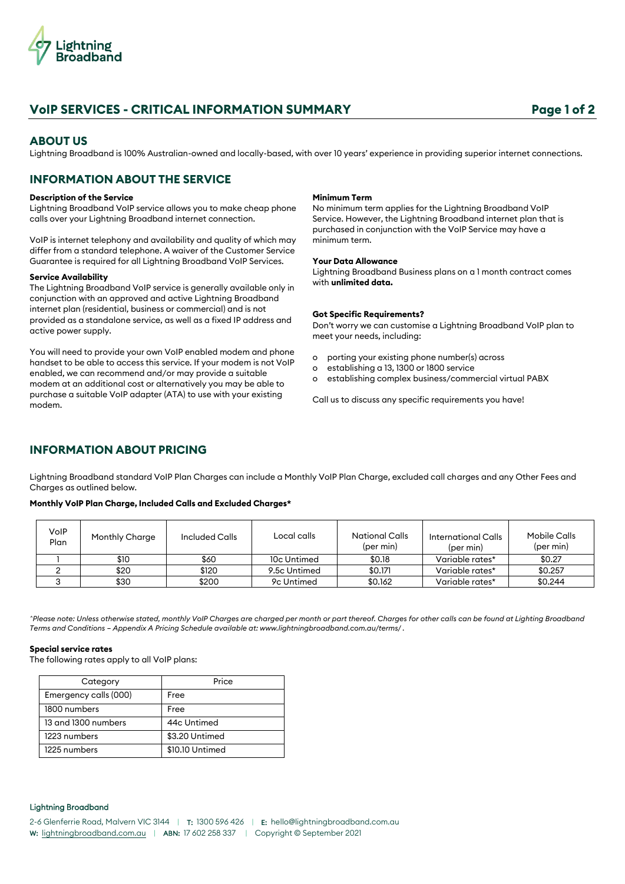

# **VoIP SERVICES - CRITICAL INFORMATION SUMMARY Page 1 of 2**

### **ABOUT US**

Lightning Broadband is 100% Australian-owned and locally-based, with over 10 years' experience in providing superior internet connections.

## **INFORMATION ABOUT THE SERVICE**

### **Description of the Service**

Lightning Broadband VoIP service allows you to make cheap phone calls over your Lightning Broadband internet connection.

VoIP is internet telephony and availability and quality of which may differ from a standard telephone. A waiver of the Customer Service Guarantee is required for all Lightning Broadband VoIP Services.

#### **Service Availability**

The Lightning Broadband VoIP service is generally available only in conjunction with an approved and active Lightning Broadband internet plan (residential, business or commercial) and is not provided as a standalone service, as well as a fixed IP address and active power supply.

You will need to provide your own VoIP enabled modem and phone handset to be able to access this service. If your modem is not VoIP enabled, we can recommend and/or may provide a suitable modem at an additional cost or alternatively you may be able to purchase a suitable VoIP adapter (ATA) to use with your existing modem.

#### **Minimum Term**

No minimum term applies for the Lightning Broadband VoIP Service. However, the Lightning Broadband internet plan that is purchased in conjunction with the VoIP Service may have a minimum term.

#### **Your Data Allowance**

Lightning Broadband Business plans on a 1 month contract comes with **unlimited data.**

#### **Got Specific Requirements?**

Don't worry we can customise a Lightning Broadband VoIP plan to meet your needs, including:

- o porting your existing phone number(s) across
- o establishing a 13, 1300 or 1800 service
- o establishing complex business/commercial virtual PABX

Call us to discuss any specific requirements you have!

## **INFORMATION ABOUT PRICING**

Lightning Broadband standard VoIP Plan Charges can include a Monthly VoIP Plan Charge, excluded call charges and any Other Fees and Charges as outlined below.

### **Monthly VoIP Plan Charge, Included Calls and Excluded Charges\***

| VoIP<br>Plan | Monthly Charge | Included Calls | Local calls  | <b>National Calls</b><br>(per min) | International Calls<br>(per min) | <b>Mobile Calls</b><br>(per min) |
|--------------|----------------|----------------|--------------|------------------------------------|----------------------------------|----------------------------------|
|              | \$10           | \$60           | 10c Untimed  | \$0.18                             | Variable rates*                  | \$0.27                           |
|              | \$20           | \$120          | 9.5c Untimed | \$0.171                            | Variable rates*                  | \$0.257                          |
|              | \$30           | \$200          | 9c Untimed   | \$0.162                            | Variable rates*                  | \$0.244                          |

*^Please note: Unless otherwise stated, monthly VoIP Charges are charged per month or part thereof. Charges for other calls can be found at Lighting Broadband Terms and Conditions – Appendix A Pricing Schedule available at: www.lightningbroadband.com.au/terms/ .*

### **Special service rates**

The following rates apply to all VoIP plans:

| Category              | Price           |
|-----------------------|-----------------|
| Emergency calls (000) | Free            |
| 1800 numbers          | Free            |
| 13 and 1300 numbers   | 44c Untimed     |
| 1223 numbers          | \$3.20 Untimed  |
| 1225 numbers          | \$10.10 Untimed |

### Lightning Broadband